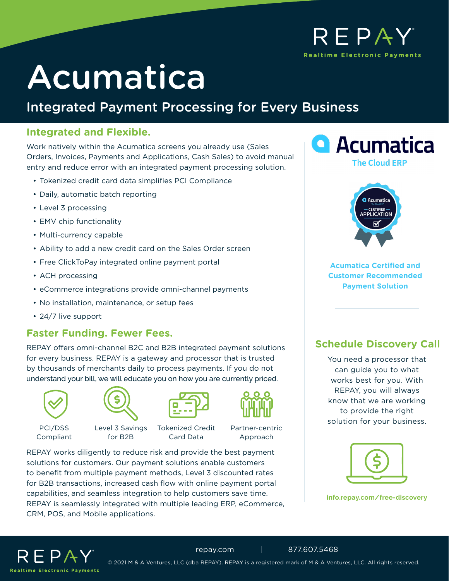# REPAY **Realtime Electronic Payments**

# Acumatica

# Integrated Payment Processing for Every Business

# **Integrated and Flexible.**

Work natively within the Acumatica screens you already use (Sales Orders, Invoices, Payments and Applications, Cash Sales) to avoid manual entry and reduce error with an integrated payment processing solution.

- Tokenized credit card data simplifies PCI Compliance
- Daily, automatic batch reporting
- Level 3 processing
- EMV chip functionality
- Multi-currency capable
- Ability to add a new credit card on the Sales Order screen
- Free ClickToPay integrated online payment portal
- ACH processing
- eCommerce integrations provide omni-channel payments
- No installation, maintenance, or setup fees
- 24/7 live support

# **Faster Funding. Fewer Fees.**

REPAY offers omni-channel B2C and B2B integrated payment solutions for every business. REPAY is a gateway and processor that is trusted by thousands of merchants daily to process payments. If you do not understand your bill, we will educate you on how you are currently priced.





for B2B

PCI/DSS Compliant

Level 3 Savings



Tokenized Credit Card Data

Partner-centric Approach

REPAY works diligently to reduce risk and provide the best payment solutions for customers. Our payment solutions enable customers to benefit from multiple payment methods, Level 3 discounted rates for B2B transactions, increased cash flow with online payment portal capabilities, and seamless integration to help customers save time. REPAY is seamlessly integrated with multiple leading ERP, eCommerce, CRM, POS, and Mobile applications.





**Acumatica Certified and Customer Recommended Payment Solution**

# **Schedule Discovery Call**

You need a processor that can guide you to what works best for you. With REPAY, you will always know that we are working to provide the right solution for your business.



**[info.repay.com/free-discovery](http://info.repay.com/free-discovery)**



© 2021 M & A Ventures, LLC (dba REPAY). REPAY is a registered mark of M & A Ventures, LLC. All rights reserved.

#### [repay.com](https://www.repay.com/) | 877.607.5468